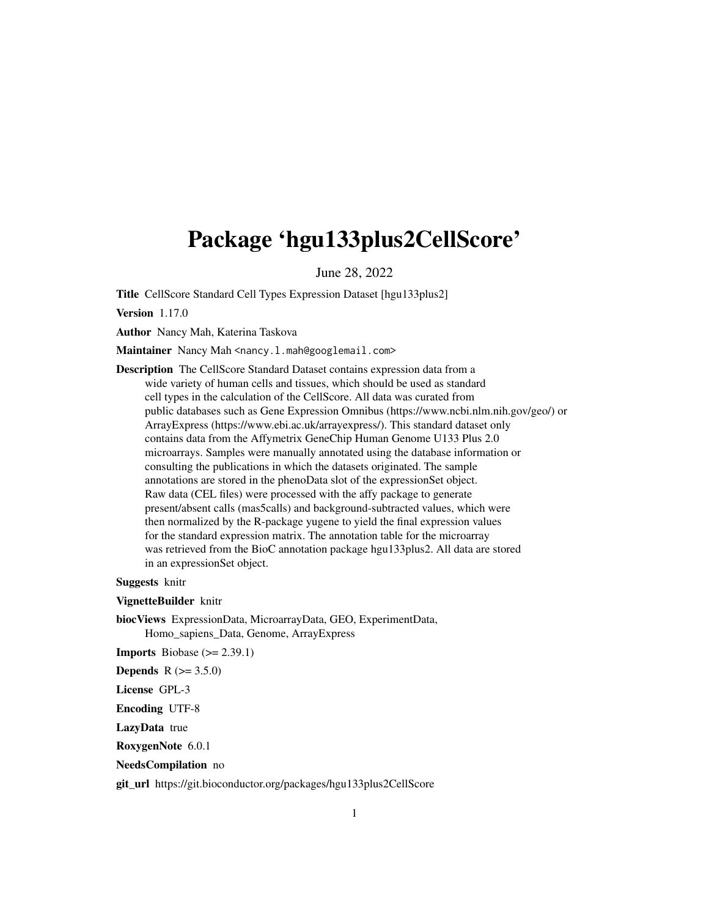## Package 'hgu133plus2CellScore'

June 28, 2022

Title CellScore Standard Cell Types Expression Dataset [hgu133plus2]

Version 1.17.0

Author Nancy Mah, Katerina Taskova

Maintainer Nancy Mah <nancy.l.mah@googlemail.com>

Description The CellScore Standard Dataset contains expression data from a wide variety of human cells and tissues, which should be used as standard cell types in the calculation of the CellScore. All data was curated from public databases such as Gene Expression Omnibus (https://www.ncbi.nlm.nih.gov/geo/) or ArrayExpress (https://www.ebi.ac.uk/arrayexpress/). This standard dataset only contains data from the Affymetrix GeneChip Human Genome U133 Plus 2.0 microarrays. Samples were manually annotated using the database information or consulting the publications in which the datasets originated. The sample annotations are stored in the phenoData slot of the expressionSet object. Raw data (CEL files) were processed with the affy package to generate present/absent calls (mas5calls) and background-subtracted values, which were then normalized by the R-package yugene to yield the final expression values for the standard expression matrix. The annotation table for the microarray was retrieved from the BioC annotation package hgu133plus2. All data are stored in an expressionSet object.

Suggests knitr

VignetteBuilder knitr

biocViews ExpressionData, MicroarrayData, GEO, ExperimentData, Homo\_sapiens\_Data, Genome, ArrayExpress

**Imports** Biobase  $(>= 2.39.1)$ 

**Depends**  $R (= 3.5.0)$ 

License GPL-3

Encoding UTF-8

LazyData true

RoxygenNote 6.0.1

NeedsCompilation no

git\_url https://git.bioconductor.org/packages/hgu133plus2CellScore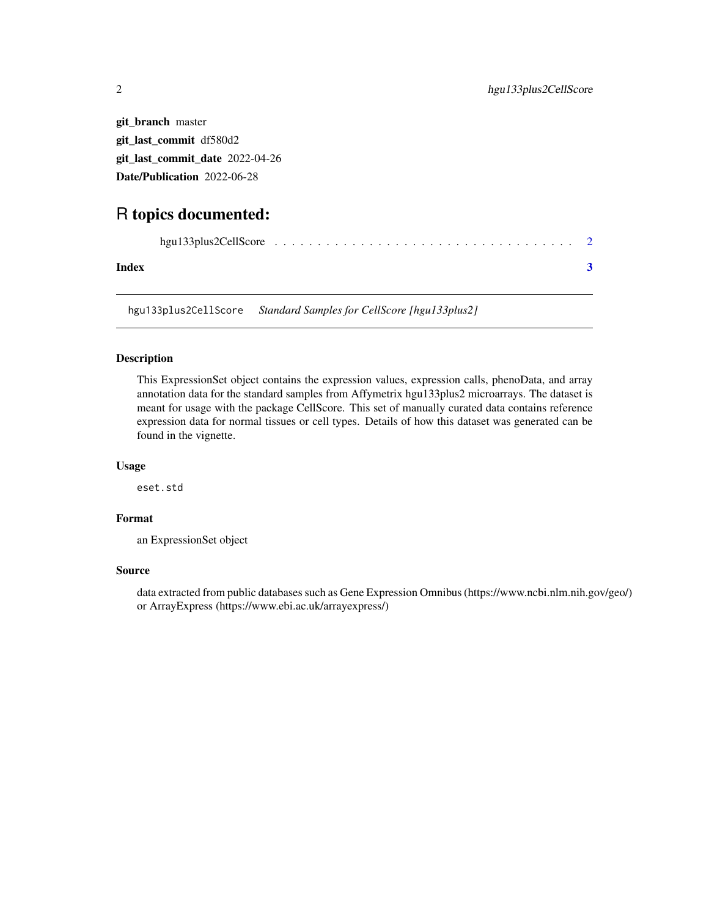git\_branch master git\_last\_commit df580d2 git\_last\_commit\_date 2022-04-26 Date/Publication 2022-06-28

### R topics documented:

| Index |  |  |  |  |  |  |  |  |  |  |
|-------|--|--|--|--|--|--|--|--|--|--|

hgu133plus2CellScore *Standard Samples for CellScore [hgu133plus2]*

#### Description

This ExpressionSet object contains the expression values, expression calls, phenoData, and array annotation data for the standard samples from Affymetrix hgu133plus2 microarrays. The dataset is meant for usage with the package CellScore. This set of manually curated data contains reference expression data for normal tissues or cell types. Details of how this dataset was generated can be found in the vignette.

#### Usage

eset.std

#### Format

an ExpressionSet object

#### Source

data extracted from public databases such as Gene Expression Omnibus (https://www.ncbi.nlm.nih.gov/geo/) or ArrayExpress (https://www.ebi.ac.uk/arrayexpress/)

<span id="page-1-0"></span>